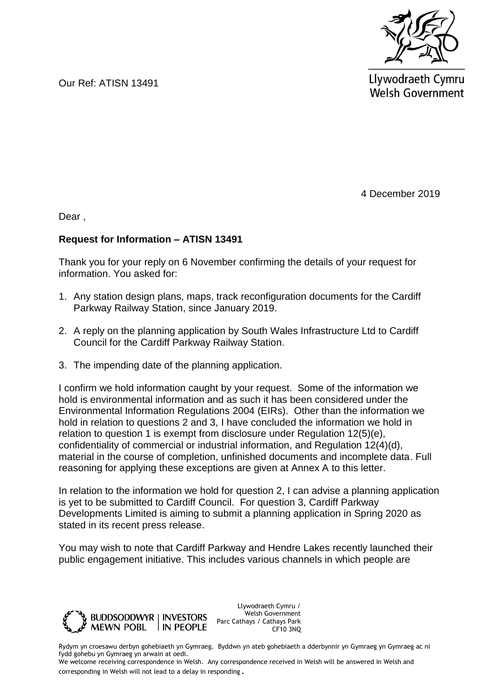

Our Ref: ATISN 13491

Llywodraeth Cymru **Welsh Government** 

4 December 2019

Dear ,

#### **Request for Information – ATISN 13491**

Thank you for your reply on 6 November confirming the details of your request for information. You asked for:

- 1. Any station design plans, maps, track reconfiguration documents for the Cardiff Parkway Railway Station, since January 2019.
- 2. A reply on the planning application by South Wales Infrastructure Ltd to Cardiff Council for the Cardiff Parkway Railway Station.
- 3. The impending date of the planning application.

I confirm we hold information caught by your request. Some of the information we hold is environmental information and as such it has been considered under the Environmental Information Regulations 2004 (EIRs). Other than the information we hold in relation to questions 2 and 3, I have concluded the information we hold in relation to question 1 is exempt from disclosure under Regulation 12(5)(e), confidentiality of commercial or industrial information, and Regulation 12(4)(d), material in the course of completion, unfinished documents and incomplete data. Full reasoning for applying these exceptions are given at Annex A to this letter.

In relation to the information we hold for question 2, I can advise a planning application is yet to be submitted to Cardiff Council. For question 3, Cardiff Parkway Developments Limited is aiming to submit a planning application in Spring 2020 as stated in its recent press release.

You may wish to note that Cardiff Parkway and Hendre Lakes recently launched their public engagement initiative. This includes various channels in which people are



Llywodraeth Cymru / Welsh Government Parc Cathays / Cathays Park CF10 3NQ

Rydym yn croesawu derbyn gohebiaeth yn Gymraeg. Byddwn yn ateb gohebiaeth a dderbynnir yn Gymraeg yn Gymraeg ac ni fydd gohebu yn Gymraeg yn arwain at oedi.

We welcome receiving correspondence in Welsh. Any correspondence received in Welsh will be answered in Welsh and corresponding in Welsh will not lead to a delay in responding.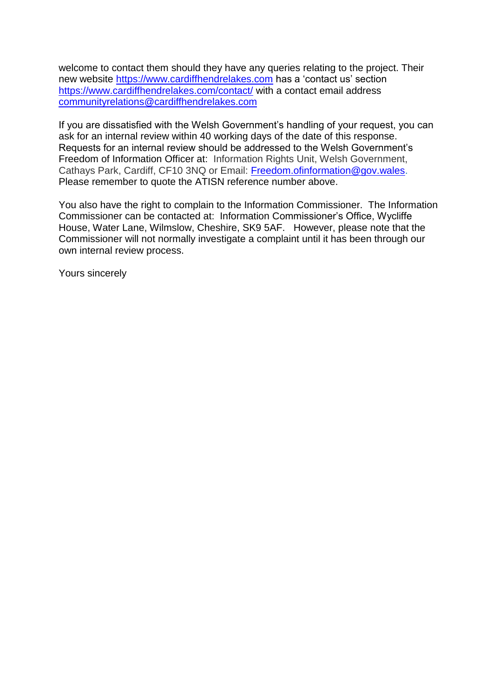welcome to contact them should they have any queries relating to the project. Their new website [https://www.cardiffhendrelakes.com](https://eur01.safelinks.protection.outlook.com/?url=https%3A%2F%2Fwww.cardiffhendrelakes.com&data=02%7C01%7CFOI.EconomyandInfrastructure%40gov.wales%7C4aada4570faf4ce2d2bd08d76f64a6ff%7Ca2cc36c592804ae78887d06dab89216b%7C0%7C0%7C637100351217764954&sdata=Gk73PmHoab5ybTOStI95iPaxNzTSkIW1%2BWuJyh59M2k%3D&reserved=0) has a 'contact us' section [https://www.cardiffhendrelakes.com/contact/](https://eur01.safelinks.protection.outlook.com/?url=https%3A%2F%2Fwww.cardiffhendrelakes.com%2Fcontact%2F&data=02%7C01%7CFOI.EconomyandInfrastructure%40gov.wales%7C4aada4570faf4ce2d2bd08d76f64a6ff%7Ca2cc36c592804ae78887d06dab89216b%7C0%7C0%7C637100351217774953&sdata=0txPQCFdhwxt9AUZoOgEyzYTkA2yVpNWHHLnMWO2gU4%3D&reserved=0) with a contact email address [communityrelations@cardiffhendrelakes.com](mailto:communityrelations@cardiffhendrelakes.com)

If you are dissatisfied with the Welsh Government's handling of your request, you can ask for an internal review within 40 working days of the date of this response. Requests for an internal review should be addressed to the Welsh Government's Freedom of Information Officer at: Information Rights Unit, Welsh Government, Cathays Park, Cardiff, CF10 3NQ or Email: [Freedom.ofinformation@gov.wales.](mailto:Freedom.ofinformation@gov.wales) Please remember to quote the ATISN reference number above.

You also have the right to complain to the Information Commissioner. The Information Commissioner can be contacted at: Information Commissioner's Office, Wycliffe House, Water Lane, Wilmslow, Cheshire, SK9 5AF. However, please note that the Commissioner will not normally investigate a complaint until it has been through our own internal review process.

Yours sincerely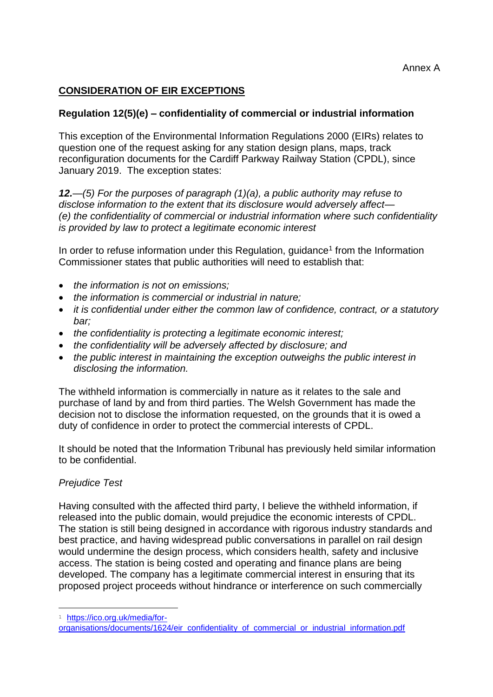# **CONSIDERATION OF EIR EXCEPTIONS**

### **Regulation 12(5)(e) – confidentiality of commercial or industrial information**

This exception of the Environmental Information Regulations 2000 (EIRs) relates to question one of the request asking for any station design plans, maps, track reconfiguration documents for the Cardiff Parkway Railway Station (CPDL), since January 2019. The exception states:

*12.—(5) For the purposes of paragraph (1)(a), a public authority may refuse to disclose information to the extent that its disclosure would adversely affect— (e) the confidentiality of commercial or industrial information where such confidentiality is provided by law to protect a legitimate economic interest* 

In order to refuse information under this Regulation, guidance<sup>1</sup> from the Information Commissioner states that public authorities will need to establish that:

- *the information is not on emissions;*
- *the information is commercial or industrial in nature;*
- *it is confidential under either the common law of confidence, contract, or a statutory bar;*
- *the confidentiality is protecting a legitimate economic interest;*
- *the confidentiality will be adversely affected by disclosure; and*
- *the public interest in maintaining the exception outweighs the public interest in disclosing the information.*

The withheld information is commercially in nature as it relates to the sale and purchase of land by and from third parties. The Welsh Government has made the decision not to disclose the information requested, on the grounds that it is owed a duty of confidence in order to protect the commercial interests of CPDL.

It should be noted that the Information Tribunal has previously held similar information to be confidential.

#### *Prejudice Test*

Having consulted with the affected third party, I believe the withheld information, if released into the public domain, would prejudice the economic interests of CPDL. The station is still being designed in accordance with rigorous industry standards and best practice, and having widespread public conversations in parallel on rail design would undermine the design process, which considers health, safety and inclusive access. The station is being costed and operating and finance plans are being developed. The company has a legitimate commercial interest in ensuring that its proposed project proceeds without hindrance or interference on such commercially

ı

<sup>1</sup> [https://ico.org.uk/media/for-](https://ico.org.uk/media/for-organisations/documents/1624/eir_confidentiality_of_commercial_or_industrial_information.pdf)

[organisations/documents/1624/eir\\_confidentiality\\_of\\_commercial\\_or\\_industrial\\_information.pdf](https://ico.org.uk/media/for-organisations/documents/1624/eir_confidentiality_of_commercial_or_industrial_information.pdf)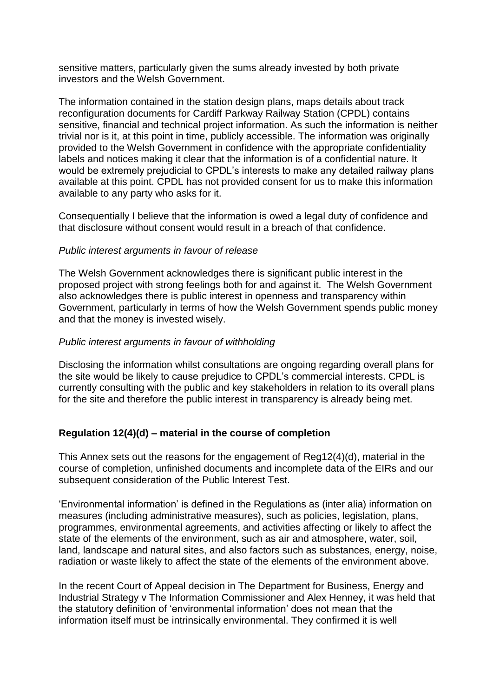sensitive matters, particularly given the sums already invested by both private investors and the Welsh Government.

The information contained in the station design plans, maps details about track reconfiguration documents for Cardiff Parkway Railway Station (CPDL) contains sensitive, financial and technical project information. As such the information is neither trivial nor is it, at this point in time, publicly accessible. The information was originally provided to the Welsh Government in confidence with the appropriate confidentiality labels and notices making it clear that the information is of a confidential nature. It would be extremely prejudicial to CPDL's interests to make any detailed railway plans available at this point. CPDL has not provided consent for us to make this information available to any party who asks for it.

Consequentially I believe that the information is owed a legal duty of confidence and that disclosure without consent would result in a breach of that confidence.

#### *Public interest arguments in favour of release*

The Welsh Government acknowledges there is significant public interest in the proposed project with strong feelings both for and against it. The Welsh Government also acknowledges there is public interest in openness and transparency within Government, particularly in terms of how the Welsh Government spends public money and that the money is invested wisely.

### *Public interest arguments in favour of withholding*

Disclosing the information whilst consultations are ongoing regarding overall plans for the site would be likely to cause prejudice to CPDL's commercial interests. CPDL is currently consulting with the public and key stakeholders in relation to its overall plans for the site and therefore the public interest in transparency is already being met.

## **Regulation 12(4)(d) – material in the course of completion**

This Annex sets out the reasons for the engagement of Reg12(4)(d), material in the course of completion, unfinished documents and incomplete data of the EIRs and our subsequent consideration of the Public Interest Test.

'Environmental information' is defined in the Regulations as (inter alia) information on measures (including administrative measures), such as policies, legislation, plans, programmes, environmental agreements, and activities affecting or likely to affect the state of the elements of the environment, such as air and atmosphere, water, soil, land, landscape and natural sites, and also factors such as substances, energy, noise, radiation or waste likely to affect the state of the elements of the environment above.

In the recent Court of Appeal decision in The Department for Business, Energy and Industrial Strategy v The Information Commissioner and Alex Henney, it was held that the statutory definition of 'environmental information' does not mean that the information itself must be intrinsically environmental. They confirmed it is well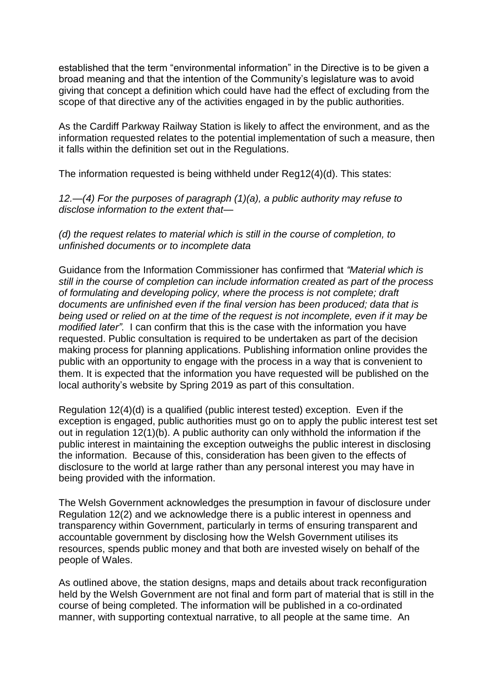established that the term "environmental information" in the Directive is to be given a broad meaning and that the intention of the Community's legislature was to avoid giving that concept a definition which could have had the effect of excluding from the scope of that directive any of the activities engaged in by the public authorities.

As the Cardiff Parkway Railway Station is likely to affect the environment, and as the information requested relates to the potential implementation of such a measure, then it falls within the definition set out in the Regulations.

The information requested is being withheld under Reg12(4)(d). This states:

*12.—(4) For the purposes of paragraph (1)(a), a public authority may refuse to disclose information to the extent that—*

*(d) the request relates to material which is still in the course of completion, to unfinished documents or to incomplete data*

Guidance from the Information Commissioner has confirmed that *"Material which is still in the course of completion can include information created as part of the process of formulating and developing policy, where the process is not complete; draft documents are unfinished even if the final version has been produced; data that is being used or relied on at the time of the request is not incomplete, even if it may be modified later".* I can confirm that this is the case with the information you have requested. Public consultation is required to be undertaken as part of the decision making process for planning applications. Publishing information online provides the public with an opportunity to engage with the process in a way that is convenient to them. It is expected that the information you have requested will be published on the local authority's website by Spring 2019 as part of this consultation.

Regulation 12(4)(d) is a qualified (public interest tested) exception. Even if the exception is engaged, public authorities must go on to apply the public interest test set out in regulation 12(1)(b). A public authority can only withhold the information if the public interest in maintaining the exception outweighs the public interest in disclosing the information. Because of this, consideration has been given to the effects of disclosure to the world at large rather than any personal interest you may have in being provided with the information.

The Welsh Government acknowledges the presumption in favour of disclosure under Regulation 12(2) and we acknowledge there is a public interest in openness and transparency within Government, particularly in terms of ensuring transparent and accountable government by disclosing how the Welsh Government utilises its resources, spends public money and that both are invested wisely on behalf of the people of Wales.

As outlined above, the station designs, maps and details about track reconfiguration held by the Welsh Government are not final and form part of material that is still in the course of being completed. The information will be published in a co-ordinated manner, with supporting contextual narrative, to all people at the same time. An